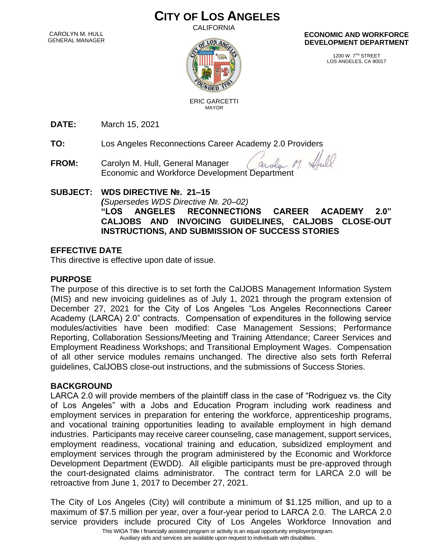# **CITY OF LOS ANGELES**

**CALIFORNIA** 

CAROLYN M. HULL GENERAL MANAGER



 ERIC GARCETTI MAYOR

**ECONOMIC AND WORKFORCE DEVELOPMENT DEPARTMENT**

> 1200 W. 7TH STREET LOS ANGELES, CA 90017

**DATE:** March 15, 2021

**TO:** Los Angeles Reconnections Career Academy 2.0 Providers

**FROM:** Carolyn M. Hull, General Manager arola Economic and Workforce Development Department

# **SUBJECT: WDS DIRECTIVE №. 21–15**

*(Supersedes WDS Directive №. 20–02)*

**"LOS ANGELES RECONNECTIONS CAREER ACADEMY 2.0" CALJOBS AND INVOICING GUIDELINES, CALJOBS CLOSE-OUT INSTRUCTIONS, AND SUBMISSION OF SUCCESS STORIES**

## **EFFECTIVE DATE**

This directive is effective upon date of issue.

## **PURPOSE**

The purpose of this directive is to set forth the CalJOBS Management Information System (MIS) and new invoicing guidelines as of July 1, 2021 through the program extension of December 27, 2021 for the City of Los Angeles "Los Angeles Reconnections Career Academy (LARCA) 2.0" contracts. Compensation of expenditures in the following service modules/activities have been modified: Case Management Sessions; Performance Reporting, Collaboration Sessions/Meeting and Training Attendance; Career Services and Employment Readiness Workshops; and Transitional Employment Wages. Compensation of all other service modules remains unchanged. The directive also sets forth Referral guidelines, CalJOBS close-out instructions, and the submissions of Success Stories.

## **BACKGROUND**

LARCA 2.0 will provide members of the plaintiff class in the case of "Rodriguez vs. the City of Los Angeles" with a Jobs and Education Program including work readiness and employment services in preparation for entering the workforce, apprenticeship programs, and vocational training opportunities leading to available employment in high demand industries. Participants may receive career counseling, case management, support services, employment readiness, vocational training and education, subsidized employment and employment services through the program administered by the Economic and Workforce Development Department (EWDD). All eligible participants must be pre-approved through the court-designated claims administrator. The contract term for LARCA 2.0 will be retroactive from June 1, 2017 to December 27, 2021.

The City of Los Angeles (City) will contribute a minimum of \$1.125 million, and up to a maximum of \$7.5 million per year, over a four-year period to LARCA 2.0. The LARCA 2.0 service providers include procured City of Los Angeles Workforce Innovation and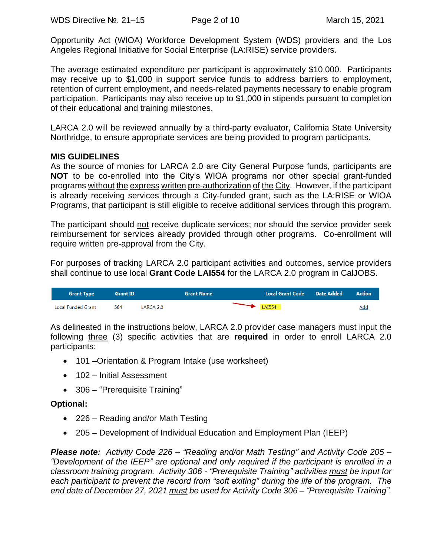Opportunity Act (WIOA) Workforce Development System (WDS) providers and the Los Angeles Regional Initiative for Social Enterprise (LA:RISE) service providers.

The average estimated expenditure per participant is approximately \$10,000. Participants may receive up to \$1,000 in support service funds to address barriers to employment, retention of current employment, and needs-related payments necessary to enable program participation. Participants may also receive up to \$1,000 in stipends pursuant to completion of their educational and training milestones.

LARCA 2.0 will be reviewed annually by a third-party evaluator, California State University Northridge, to ensure appropriate services are being provided to program participants.

#### **MIS GUIDELINES**

As the source of monies for LARCA 2.0 are City General Purpose funds, participants are **NOT** to be co-enrolled into the City's WIOA programs nor other special grant-funded programs without the express written pre-authorization of the City. However, if the participant is already receiving services through a City-funded grant, such as the LA:RISE or WIOA Programs, that participant is still eligible to receive additional services through this program.

The participant should not receive duplicate services; nor should the service provider seek reimbursement for services already provided through other programs. Co-enrollment will require written pre-approval from the City.

For purposes of tracking LARCA 2.0 participant activities and outcomes, service providers shall continue to use local **Grant Code LAI554** for the LARCA 2.0 program in CalJOBS.

| <b>Grant Type</b>  | <b>Grant ID</b> |           | <b>Grant Name</b> | Local Grant Code Date Added | <b>Action</b> |
|--------------------|-----------------|-----------|-------------------|-----------------------------|---------------|
| Local Funded Grant | 564             | LARCA 2.0 |                   | LAI554                      | <u>Add</u>    |

As delineated in the instructions below, LARCA 2.0 provider case managers must input the following three (3) specific activities that are **required** in order to enroll LARCA 2.0 participants:

- 101 Orientation & Program Intake (use worksheet)
- 102 Initial Assessment
- 306 "Prerequisite Training"

## **Optional:**

- 226 Reading and/or Math Testing
- 205 Development of Individual Education and Employment Plan (IEEP)

*Please note: Activity Code 226 – "Reading and/or Math Testing" and Activity Code 205 – "Development of the IEEP" are optional and only required if the participant is enrolled in a classroom training program. Activity 306 - "Prerequisite Training" activities must be input for each participant to prevent the record from "soft exiting" during the life of the program. The end date of December 27, 2021 must be used for Activity Code 306 – "Prerequisite Training".*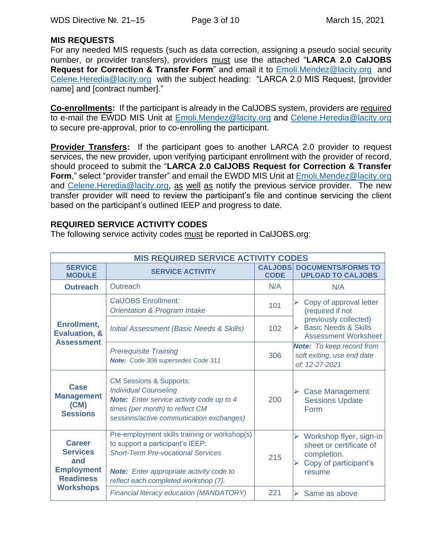#### **MIS REQUESTS**

For any needed MIS requests (such as data correction, assigning a pseudo social security number, or provider transfers), providers must use the attached "**LARCA 2.0 CalJOBS Request for Correction & Transfer Form**" and email it to [Emoli.Mendez@lacity.org](mailto:Emoli.Mendez@lacity.org) and [Celene.Heredia@lacity.org](mailto:Celene.Heredia@lacity.org) with the subject heading: "LARCA 2.0 MIS Request, [provider name] and [contract number]."

**Co-enrollments:**If the participant is already in the CalJOBS system, providers are required to e-mail the EWDD MIS Unit at [Emoli.Mendez@lacity.org](mailto:Emoli.Mendez@lacity.org) and [Celene.Heredia@lacity.org](mailto:Celene.Heredia@lacity.org) to secure pre-approval, prior to co-enrolling the participant.

**Provider Transfers:** If the participant goes to another LARCA 2.0 provider to request services, the new provider, upon verifying participant enrollment with the provider of record, should proceed to submit the "**LARCA 2.0 CalJOBS Request for Correction & Transfer Form**," select "provider transfer" and email the EWDD MIS Unit at [Emoli.Mendez@lacity.org](mailto:Emoli.Mendez@lacity.org) and [Celene.Heredia@lacity.org,](mailto:Celene.Heredia@lacity.org) as well as notify the previous service provider. The new transfer provider will need to review the participant's file and continue servicing the client based on the participant's outlined IEEP and progress to date.

#### **REQUIRED SERVICE ACTIVITY CODES**

The following service activity codes must be reported in CalJOBS.org:

| <b>MIS REQUIRED SERVICE ACTIVITY CODES</b>                                       |                                                                                                                                                                                                                           |                               |                                                                                                                                                                 |  |
|----------------------------------------------------------------------------------|---------------------------------------------------------------------------------------------------------------------------------------------------------------------------------------------------------------------------|-------------------------------|-----------------------------------------------------------------------------------------------------------------------------------------------------------------|--|
| <b>SERVICE</b><br><b>MODULE</b>                                                  | <b>SERVICE ACTIVITY</b>                                                                                                                                                                                                   | <b>CALJOBS</b><br><b>CODE</b> | <b>DOCUMENTS/FORMS TO</b><br><b>UPLOAD TO CALJOBS</b>                                                                                                           |  |
| <b>Outreach</b>                                                                  | Outreach                                                                                                                                                                                                                  | N/A                           | N/A                                                                                                                                                             |  |
|                                                                                  | <b>CalJOBS Enrollment:</b><br><b>Orientation &amp; Program Intake</b>                                                                                                                                                     | 101                           | Copy of approval letter<br>(required if not<br>previously collected)<br><b>Basic Needs &amp; Skills</b><br>$\blacktriangleright$<br><b>Assessment Worksheet</b> |  |
| <b>Enrollment,</b><br><b>Evaluation, &amp;</b><br><b>Assessment</b>              | <b>Initial Assessment (Basic Needs &amp; Skills)</b>                                                                                                                                                                      | 102                           |                                                                                                                                                                 |  |
|                                                                                  | <b>Prerequisite Training</b><br>Note: Code 306 supersedes Code 311                                                                                                                                                        | 306                           | <b>Note:</b> To keep record from<br>soft exiting, use end date<br>of: 12-27-2021                                                                                |  |
| Case<br><b>Management</b><br>(CM)<br><b>Sessions</b>                             | <b>CM Sessions &amp; Supports:</b><br><b>Individual Counseling</b><br><b>Note:</b> Enter service activity code up to 4<br>times (per month) to reflect CM<br>sessions/active communication exchanges)                     | 200                           | <b>Case Management</b><br><b>Sessions Update</b><br>Form                                                                                                        |  |
| <b>Career</b><br><b>Services</b><br>and<br><b>Employment</b><br><b>Readiness</b> | Pre-employment skills training or workshop(s)<br>to support a participant's IEEP:<br><b>Short-Term Pre-vocational Services</b><br><b>Note:</b> Enter appropriate activity code to<br>reflect each completed workshop (7). | 215                           | Workshop flyer, sign-in<br>➤<br>sheet or certificate of<br>completion.<br>Copy of participant's<br>resume                                                       |  |
| <b>Workshops</b>                                                                 | Financial literacy education (MANDATORY)                                                                                                                                                                                  | 221                           | ↘<br>Same as above                                                                                                                                              |  |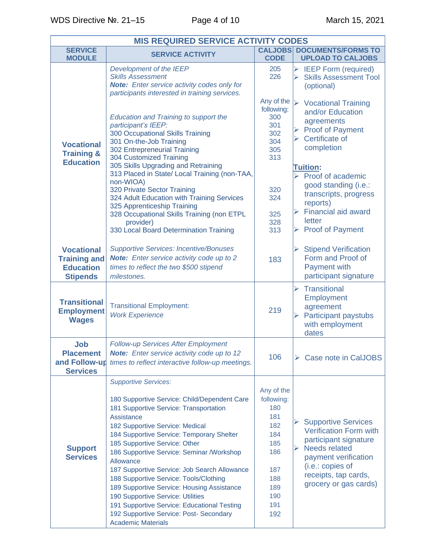| <b>MIS REQUIRED SERVICE ACTIVITY CODES</b>                                      |                                                                                                                                                                                                                                                                                                                                                                                                                                                                                                                                                                                                                    |                                                                                                              |                                                                                                                                                                                                                                         |  |  |
|---------------------------------------------------------------------------------|--------------------------------------------------------------------------------------------------------------------------------------------------------------------------------------------------------------------------------------------------------------------------------------------------------------------------------------------------------------------------------------------------------------------------------------------------------------------------------------------------------------------------------------------------------------------------------------------------------------------|--------------------------------------------------------------------------------------------------------------|-----------------------------------------------------------------------------------------------------------------------------------------------------------------------------------------------------------------------------------------|--|--|
| <b>SERVICE</b><br><b>MODULE</b>                                                 | <b>SERVICE ACTIVITY</b>                                                                                                                                                                                                                                                                                                                                                                                                                                                                                                                                                                                            | <b>CODE</b>                                                                                                  | <b>CALJOBS DOCUMENTS/FORMS TO</b><br><b>UPLOAD TO CALJOBS</b>                                                                                                                                                                           |  |  |
|                                                                                 | Development of the IEEP<br><b>Skills Assessment</b><br><b>Note:</b> Enter service activity codes only for<br>participants interested in training services.                                                                                                                                                                                                                                                                                                                                                                                                                                                         | 205<br>226                                                                                                   | <b>IEEP Form (required)</b><br>➤<br><b>Skills Assessment Tool</b><br>⋗<br>(optional)                                                                                                                                                    |  |  |
| <b>Vocational</b><br><b>Training &amp;</b><br><b>Education</b>                  | <b>Education and Training to support the</b><br>participant's IEEP:<br>300 Occupational Skills Training<br>301 On-the-Job Training<br>302 Entrepreneurial Training<br>304 Customized Training<br>305 Skills Upgrading and Retraining                                                                                                                                                                                                                                                                                                                                                                               | Any of the<br>following:<br>300<br>301<br>302<br>304<br>305<br>313                                           | $\blacktriangleright$<br><b>Vocational Training</b><br>and/or Education<br>agreements<br><b>Proof of Payment</b><br>$\blacktriangleright$<br>Certificate of<br>completion                                                               |  |  |
|                                                                                 | 313 Placed in State/ Local Training (non-TAA,<br>non-WIOA)<br>320 Private Sector Training<br>324 Adult Education with Training Services<br>325 Apprenticeship Training<br>328 Occupational Skills Training (non ETPL<br>provider)<br>330 Local Board Determination Training                                                                                                                                                                                                                                                                                                                                        | 320<br>324<br>325<br>328<br>313                                                                              | <b>Tuition:</b><br>$\triangleright$ Proof of academic<br>good standing (i.e.:<br>transcripts, progress<br>reports)<br><b>Financial aid award</b><br>$\blacktriangleright$<br>letter<br>$\triangleright$ Proof of Payment                |  |  |
| <b>Vocational</b><br><b>Training and</b><br><b>Education</b><br><b>Stipends</b> | <b>Supportive Services: Incentive/Bonuses</b><br>Note: Enter service activity code up to 2<br>times to reflect the two \$500 stipend<br>milestones.                                                                                                                                                                                                                                                                                                                                                                                                                                                                | 183                                                                                                          | <b>Stipend Verification</b><br>➤<br>Form and Proof of<br><b>Payment with</b><br>participant signature                                                                                                                                   |  |  |
| <b>Transitional</b><br><b>Employment</b><br><b>Wages</b>                        | <b>Transitional Employment:</b><br><b>Work Experience</b>                                                                                                                                                                                                                                                                                                                                                                                                                                                                                                                                                          | 219                                                                                                          | $\triangleright$ Transitional<br>Employment<br>agreement<br><b>Participant paystubs</b><br>$\blacktriangleright$<br>with employment<br>dates                                                                                            |  |  |
| Job<br><b>Placement</b><br>and Follow-up<br><b>Services</b>                     | Follow-up Services After Employment<br>Note: Enter service activity code up to 12<br>times to reflect interactive follow-up meetings.                                                                                                                                                                                                                                                                                                                                                                                                                                                                              | 106                                                                                                          | $\triangleright$ Case note in CalJOBS                                                                                                                                                                                                   |  |  |
| <b>Support</b><br><b>Services</b>                                               | <b>Supportive Services:</b><br>180 Supportive Service: Child/Dependent Care<br>181 Supportive Service: Transportation<br>Assistance<br>182 Supportive Service: Medical<br>184 Supportive Service: Temporary Shelter<br>185 Supportive Service: Other<br>186 Supportive Service: Seminar /Workshop<br>Allowance<br>187 Supportive Service: Job Search Allowance<br>188 Supportive Service: Tools/Clothing<br>189 Supportive Service: Housing Assistance<br>190 Supportive Service: Utilities<br>191 Supportive Service: Educational Testing<br>192 Supportive Service: Post- Secondary<br><b>Academic Materials</b> | Any of the<br>following:<br>180<br>181<br>182<br>184<br>185<br>186<br>187<br>188<br>189<br>190<br>191<br>192 | <b>Supportive Services</b><br>➤<br><b>Verification Form with</b><br>participant signature<br><b>Needs related</b><br>$\blacktriangleright$<br>payment verification<br>(i.e.: copies of<br>receipts, tap cards,<br>grocery or gas cards) |  |  |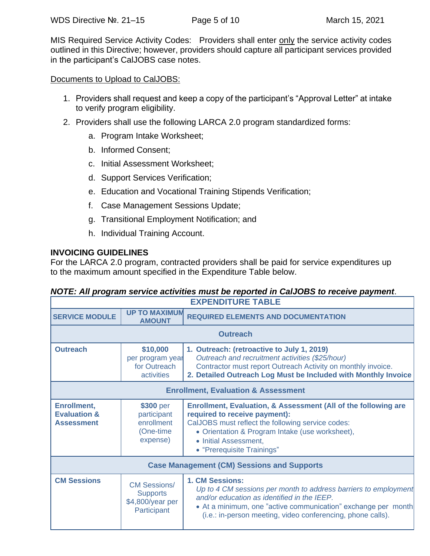MIS Required Service Activity Codes: Providers shall enter only the service activity codes outlined in this Directive; however, providers should capture all participant services provided in the participant's CalJOBS case notes.

Documents to Upload to CalJOBS:

- 1. Providers shall request and keep a copy of the participant's "Approval Letter" at intake to verify program eligibility.
- 2. Providers shall use the following LARCA 2.0 program standardized forms:
	- a. Program Intake Worksheet;
	- b. Informed Consent;
	- c. Initial Assessment Worksheet;
	- d. Support Services Verification;
	- e. Education and Vocational Training Stipends Verification;
	- f. Case Management Sessions Update;
	- g. Transitional Employment Notification; and
	- h. Individual Training Account.

## **INVOICING GUIDELINES**

For the LARCA 2.0 program, contracted providers shall be paid for service expenditures up to the maximum amount specified in the Expenditure Table below.

# *NOTE: All program service activities must be reported in CalJOBS to receive payment*.

| <b>EXPENDITURE TABLE</b>                                           |                                                                           |                                                                                                                                                                                                                                                                   |  |
|--------------------------------------------------------------------|---------------------------------------------------------------------------|-------------------------------------------------------------------------------------------------------------------------------------------------------------------------------------------------------------------------------------------------------------------|--|
| <b>SERVICE MODULE</b>                                              | <b>UP TO MAXIMUM</b><br><b>AMOUNT</b>                                     | <b>REQUIRED ELEMENTS AND DOCUMENTATION</b>                                                                                                                                                                                                                        |  |
| <b>Outreach</b>                                                    |                                                                           |                                                                                                                                                                                                                                                                   |  |
| <b>Outreach</b>                                                    | \$10,000<br>per program year<br>for Outreach<br>activities                | 1. Outreach: (retroactive to July 1, 2019)<br>Outreach and recruitment activities (\$25/hour)<br>Contractor must report Outreach Activity on monthly invoice.<br>2. Detailed Outreach Log Must be Included with Monthly Invoice                                   |  |
| <b>Enrollment, Evaluation &amp; Assessment</b>                     |                                                                           |                                                                                                                                                                                                                                                                   |  |
| <b>Enrollment,</b><br><b>Evaluation &amp;</b><br><b>Assessment</b> | \$300 per<br>participant<br>enrollment<br>(One-time)<br>expense)          | Enrollment, Evaluation, & Assessment (All of the following are<br>required to receive payment):<br>CalJOBS must reflect the following service codes:<br>• Orientation & Program Intake (use worksheet),<br>• Initial Assessment,<br>• "Prerequisite Trainings"    |  |
| <b>Case Management (CM) Sessions and Supports</b>                  |                                                                           |                                                                                                                                                                                                                                                                   |  |
| <b>CM Sessions</b>                                                 | <b>CM Sessions/</b><br><b>Supports</b><br>\$4,800/year per<br>Participant | 1. CM Sessions:<br>Up to 4 CM sessions per month to address barriers to employment<br>and/or education as identified in the IEEP.<br>• At a minimum, one "active communication" exchange per month<br>(i.e.: in-person meeting, video conferencing, phone calls). |  |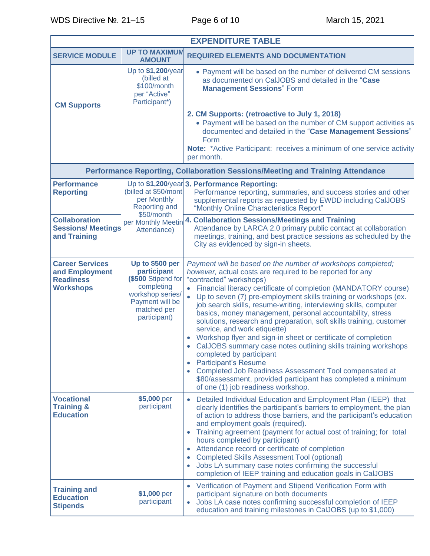| <b>EXPENDITURE TABLE</b>                                                         |                                                                                                                                          |                                                                                                                                                                                                                                                                                                                                                                                                                                                                                                                                                                                                                                                                                                                                                                                                                                                                                                                |  |
|----------------------------------------------------------------------------------|------------------------------------------------------------------------------------------------------------------------------------------|----------------------------------------------------------------------------------------------------------------------------------------------------------------------------------------------------------------------------------------------------------------------------------------------------------------------------------------------------------------------------------------------------------------------------------------------------------------------------------------------------------------------------------------------------------------------------------------------------------------------------------------------------------------------------------------------------------------------------------------------------------------------------------------------------------------------------------------------------------------------------------------------------------------|--|
| <b>SERVICE MODULE</b>                                                            | <b>UP TO MAXIMUM</b><br><b>AMOUNT</b>                                                                                                    | <b>REQUIRED ELEMENTS AND DOCUMENTATION</b>                                                                                                                                                                                                                                                                                                                                                                                                                                                                                                                                                                                                                                                                                                                                                                                                                                                                     |  |
| <b>CM Supports</b>                                                               | Up to \$1,200/year<br>(billed at<br>\$100/month<br>per "Active"<br>Participant*)                                                         | • Payment will be based on the number of delivered CM sessions<br>as documented on CalJOBS and detailed in the "Case<br><b>Management Sessions" Form</b><br>2. CM Supports: (retroactive to July 1, 2018)<br>• Payment will be based on the number of CM support activities as<br>documented and detailed in the "Case Management Sessions"<br>Form<br><b>Note:</b> *Active Participant: receives a minimum of one service activity<br>per month.                                                                                                                                                                                                                                                                                                                                                                                                                                                              |  |
|                                                                                  |                                                                                                                                          | Performance Reporting, Collaboration Sessions/Meeting and Training Attendance                                                                                                                                                                                                                                                                                                                                                                                                                                                                                                                                                                                                                                                                                                                                                                                                                                  |  |
| <b>Performance</b><br><b>Reporting</b>                                           | (billed at \$50/mont<br>per Monthly<br><b>Reporting and</b>                                                                              | Up to \$1,200/year 3. Performance Reporting:<br>Performance reporting, summaries, and success stories and other<br>supplemental reports as requested by EWDD including CalJOBS<br>"Monthly Online Characteristics Report"                                                                                                                                                                                                                                                                                                                                                                                                                                                                                                                                                                                                                                                                                      |  |
| <b>Collaboration</b><br><b>Sessions/ Meetings</b><br>and Training                | \$50/month<br>per Monthly Meetin<br>Attendance)                                                                                          | 4. Collaboration Sessions/Meetings and Training<br>Attendance by LARCA 2.0 primary public contact at collaboration<br>meetings, training, and best practice sessions as scheduled by the<br>City as evidenced by sign-in sheets.                                                                                                                                                                                                                                                                                                                                                                                                                                                                                                                                                                                                                                                                               |  |
| <b>Career Services</b><br>and Employment<br><b>Readiness</b><br><b>Workshops</b> | Up to \$500 per<br>participant<br>(\$500 Stipend for<br>completing<br>workshop series/<br>Payment will be<br>matched per<br>participant) | Payment will be based on the number of workshops completed;<br>however, actual costs are required to be reported for any<br>"contracted" workshops)<br>Financial literacy certificate of completion (MANDATORY course)<br>$\bullet$<br>Up to seven (7) pre-employment skills training or workshops (ex.<br>job search skills, resume-writing, interviewing skills, computer<br>basics, money management, personal accountability, stress<br>solutions, research and preparation, soft skills training, customer<br>service, and work etiquette)<br>Workshop flyer and sign-in sheet or certificate of completion<br>CalJOBS summary case notes outlining skills training workshops<br>completed by participant<br><b>Participant's Resume</b><br>Completed Job Readiness Assessment Tool compensated at<br>\$80/assessment, provided participant has completed a minimum<br>of one (1) job readiness workshop. |  |
| <b>Vocational</b><br><b>Training &amp;</b><br><b>Education</b>                   | \$5,000 per<br>participant                                                                                                               | Detailed Individual Education and Employment Plan (IEEP) that<br>clearly identifies the participant's barriers to employment, the plan<br>of action to address those barriers, and the participant's education<br>and employment goals (required).<br>Training agreement (payment for actual cost of training; for total<br>hours completed by participant)<br>Attendance record or certificate of completion<br>$\bullet$<br><b>Completed Skills Assessment Tool (optional)</b><br>$\bullet$<br>Jobs LA summary case notes confirming the successful<br>completion of IEEP training and education goals in CalJOBS                                                                                                                                                                                                                                                                                            |  |
| <b>Training and</b><br><b>Education</b><br><b>Stipends</b>                       | \$1,000 per<br>participant                                                                                                               | • Verification of Payment and Stipend Verification Form with<br>participant signature on both documents<br>Jobs LA case notes confirming successful completion of IEEP<br>$\bullet$<br>education and training milestones in CalJOBS (up to \$1,000)                                                                                                                                                                                                                                                                                                                                                                                                                                                                                                                                                                                                                                                            |  |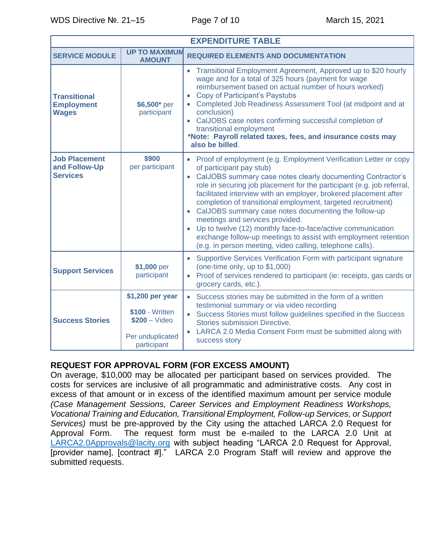| <b>EXPENDITURE TABLE</b>                                 |                                                                                          |                                                                                                                                                                                                                                                                                                                                                                                                                                                                                                                                                                                                                                                                                    |  |  |
|----------------------------------------------------------|------------------------------------------------------------------------------------------|------------------------------------------------------------------------------------------------------------------------------------------------------------------------------------------------------------------------------------------------------------------------------------------------------------------------------------------------------------------------------------------------------------------------------------------------------------------------------------------------------------------------------------------------------------------------------------------------------------------------------------------------------------------------------------|--|--|
| <b>SERVICE MODULE</b>                                    | <b>UP TO MAXIMUM</b><br><b>AMOUNT</b>                                                    | <b>REQUIRED ELEMENTS AND DOCUMENTATION</b>                                                                                                                                                                                                                                                                                                                                                                                                                                                                                                                                                                                                                                         |  |  |
| <b>Transitional</b><br><b>Employment</b><br><b>Wages</b> | \$6,500* per<br>participant                                                              | Transitional Employment Agreement, Approved up to \$20 hourly<br>$\bullet$<br>wage and for a total of 325 hours (payment for wage<br>reimbursement based on actual number of hours worked)<br><b>Copy of Participant's Paystubs</b><br>$\bullet$<br>Completed Job Readiness Assessment Tool (at midpoint and at<br>conclusion)<br>• CalJOBS case notes confirming successful completion of<br>transitional employment<br>*Note: Payroll related taxes, fees, and insurance costs may<br>also be billed.                                                                                                                                                                            |  |  |
| <b>Job Placement</b><br>and Follow-Up<br><b>Services</b> | \$900<br>per participant                                                                 | • Proof of employment (e.g. Employment Verification Letter or copy<br>of participant pay stub)<br>CalJOBS summary case notes clearly documenting Contractor's<br>$\bullet$<br>role in securing job placement for the participant (e.g. job referral,<br>facilitated interview with an employer, brokered placement after<br>completion of transitional employment, targeted recruitment)<br>CalJOBS summary case notes documenting the follow-up<br>meetings and services provided.<br>Up to twelve (12) monthly face-to-face/active communication<br>exchange follow-up meetings to assist with employment retention<br>(e.g. in person meeting, video calling, telephone calls). |  |  |
| <b>Support Services</b>                                  | \$1,000 per<br>participant                                                               | Supportive Services Verification Form with participant signature<br>$\bullet$<br>(one-time only, up to \$1,000)<br>Proof of services rendered to participant (ie: receipts, gas cards or<br>$\bullet$<br>grocery cards, etc.).                                                                                                                                                                                                                                                                                                                                                                                                                                                     |  |  |
| <b>Success Stories</b>                                   | \$1,200 per year<br>\$100 - Written<br>$$200 - Video$<br>Per unduplicated<br>participant | Success stories may be submitted in the form of a written<br>$\bullet$<br>testimonial summary or via video recording<br>Success Stories must follow guidelines specified in the Success<br><b>Stories submission Directive.</b><br>LARCA 2.0 Media Consent Form must be submitted along with<br>$\bullet$<br>success story                                                                                                                                                                                                                                                                                                                                                         |  |  |

# **REQUEST FOR APPROVAL FORM (FOR EXCESS AMOUNT)**

On average, \$10,000 may be allocated per participant based on services provided. The costs for services are inclusive of all programmatic and administrative costs. Any cost in excess of that amount or in excess of the identified maximum amount per service module *(Case Management Sessions, Career Services and Employment Readiness Workshops, Vocational Training and Education, Transitional Employment, Follow-up Services, or Support Services)* must be pre-approved by the City using the attached LARCA 2.0 Request for Approval Form. The request form must be e-mailed to the LARCA 2.0 Unit at [LARCA2.0Approvals@lacity.org](mailto:LARCA2.0Approvals@lacity.org) with subject heading "LARCA 2.0 Request for Approval, [provider name], [contract #]." LARCA 2.0 Program Staff will review and approve the submitted requests.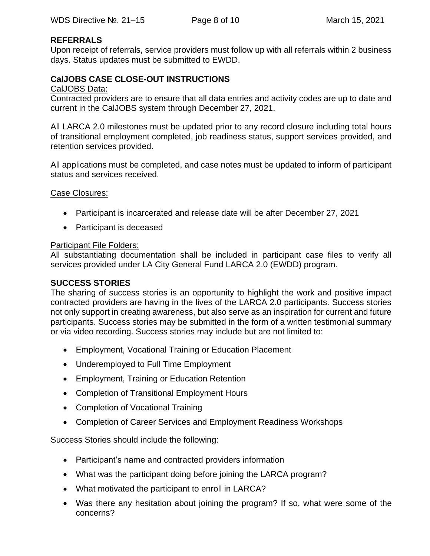## **REFERRALS**

Upon receipt of referrals, service providers must follow up with all referrals within 2 business days. Status updates must be submitted to EWDD.

## **CalJOBS CASE CLOSE-OUT INSTRUCTIONS**

#### CalJOBS Data:

Contracted providers are to ensure that all data entries and activity codes are up to date and current in the CalJOBS system through December 27, 2021.

All LARCA 2.0 milestones must be updated prior to any record closure including total hours of transitional employment completed, job readiness status, support services provided, and retention services provided.

All applications must be completed, and case notes must be updated to inform of participant status and services received.

#### Case Closures:

- Participant is incarcerated and release date will be after December 27, 2021
- Participant is deceased

#### Participant File Folders:

All substantiating documentation shall be included in participant case files to verify all services provided under LA City General Fund LARCA 2.0 (EWDD) program.

#### **SUCCESS STORIES**

The sharing of success stories is an opportunity to highlight the work and positive impact contracted providers are having in the lives of the LARCA 2.0 participants. Success stories not only support in creating awareness, but also serve as an inspiration for current and future participants. Success stories may be submitted in the form of a written testimonial summary or via video recording. Success stories may include but are not limited to:

- Employment, Vocational Training or Education Placement
- Underemployed to Full Time Employment
- Employment, Training or Education Retention
- Completion of Transitional Employment Hours
- Completion of Vocational Training
- Completion of Career Services and Employment Readiness Workshops

Success Stories should include the following:

- Participant's name and contracted providers information
- What was the participant doing before joining the LARCA program?
- What motivated the participant to enroll in LARCA?
- Was there any hesitation about joining the program? If so, what were some of the concerns?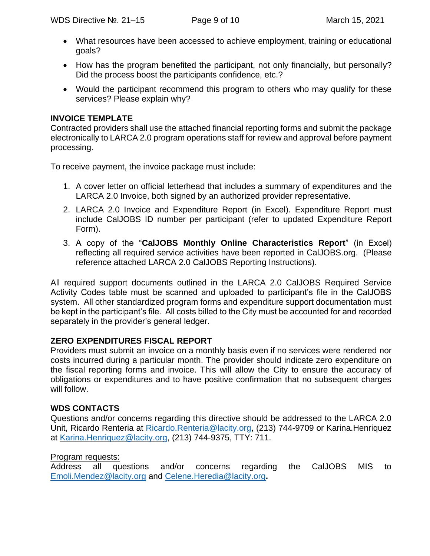- What resources have been accessed to achieve employment, training or educational goals?
- How has the program benefited the participant, not only financially, but personally? Did the process boost the participants confidence, etc.?
- Would the participant recommend this program to others who may qualify for these services? Please explain why?

## **INVOICE TEMPLATE**

Contracted providers shall use the attached financial reporting forms and submit the package electronically to LARCA 2.0 program operations staff for review and approval before payment processing.

To receive payment, the invoice package must include:

- 1. A cover letter on official letterhead that includes a summary of expenditures and the LARCA 2.0 Invoice, both signed by an authorized provider representative.
- 2. LARCA 2.0 Invoice and Expenditure Report (in Excel). Expenditure Report must include CalJOBS ID number per participant (refer to updated Expenditure Report Form).
- 3. A copy of the "**CalJOBS Monthly Online Characteristics Report**" (in Excel) reflecting all required service activities have been reported in CalJOBS.org. (Please reference attached LARCA 2.0 CalJOBS Reporting Instructions).

All required support documents outlined in the LARCA 2.0 CalJOBS Required Service Activity Codes table must be scanned and uploaded to participant's file in the CalJOBS system. All other standardized program forms and expenditure support documentation must be kept in the participant's file. All costs billed to the City must be accounted for and recorded separately in the provider's general ledger.

# **ZERO EXPENDITURES FISCAL REPORT**

Providers must submit an invoice on a monthly basis even if no services were rendered nor costs incurred during a particular month. The provider should indicate zero expenditure on the fiscal reporting forms and invoice. This will allow the City to ensure the accuracy of obligations or expenditures and to have positive confirmation that no subsequent charges will follow.

# **WDS CONTACTS**

Questions and/or concerns regarding this directive should be addressed to the LARCA 2.0 Unit, Ricardo Renteria at [Ricardo.Renteria@lacity.org,](mailto:Ricardo.Renteria@lacity.org) (213) 744-9709 or Karina.Henriquez at [Karina.Henriquez@lacity.org,](mailto:Karina.Henriquez@lacity.org) (213) 744-9375, TTY: 711.

## Program requests:

Address all questions and/or concerns regarding the CalJOBS MIS to [Emoli.Mendez@lacity.org](mailto:Emoli.Mendez@lacity.org) and Celene.Heredia@lacity.org**.**